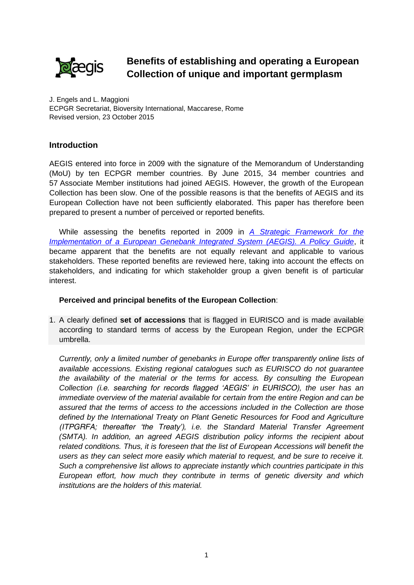

## **Benefits of establishing and operating a European Collection of unique and important germplasm**

J. Engels and L. Maggioni ECPGR Secretariat, Bioversity International, Maccarese, Rome Revised version, 23 October 2015

## **Introduction**

AEGIS entered into force in 2009 with the signature of the Memorandum of Understanding (MoU) by ten ECPGR member countries. By June 2015, 34 member countries and 57 Associate Member institutions had joined AEGIS. However, the growth of the European Collection has been slow. One of the possible reasons is that the benefits of AEGIS and its European Collection have not been sufficiently elaborated. This paper has therefore been prepared to present a number of perceived or reported benefits.

While assessing the benefits reported in 2009 in *[A Strategic Framework for the](http://www.ecpgr.cgiar.org/fileadmin/templates/ecpgr.org/upload/AEGIS/FOR_WEB_FINAL/Strategic_Framework_-_Policy_Guide_120109_with_covers.pdf)  [Implementation of a European Genebank Integrated System \(AEGIS\). A Policy Guide](http://www.ecpgr.cgiar.org/fileadmin/templates/ecpgr.org/upload/AEGIS/FOR_WEB_FINAL/Strategic_Framework_-_Policy_Guide_120109_with_covers.pdf)*, it became apparent that the benefits are not equally relevant and applicable to various stakeholders. These reported benefits are reviewed here, taking into account the effects on stakeholders, and indicating for which stakeholder group a given benefit is of particular interest.

## **Perceived and principal benefits of the European Collection**:

1. A clearly defined **set of accessions** that is flagged in EURISCO and is made available according to standard terms of access by the European Region, under the ECPGR umbrella.

*Currently, only a limited number of genebanks in Europe offer transparently online lists of available accessions. Existing regional catalogues such as EURISCO do not guarantee the availability of the material or the terms for access. By consulting the European Collection (i.e. searching for records flagged 'AEGIS' in EURISCO), the user has an immediate overview of the material available for certain from the entire Region and can be assured that the terms of access to the accessions included in the Collection are those defined by the International Treaty on Plant Genetic Resources for Food and Agriculture (ITPGRFA; thereafter 'the Treaty'), i.e. the Standard Material Transfer Agreement (SMTA). In addition, an agreed AEGIS distribution policy informs the recipient about related conditions. Thus, it is foreseen that the list of European Accessions will benefit the users as they can select more easily which material to request, and be sure to receive it. Such a comprehensive list allows to appreciate instantly which countries participate in this European effort, how much they contribute in terms of genetic diversity and which institutions are the holders of this material.*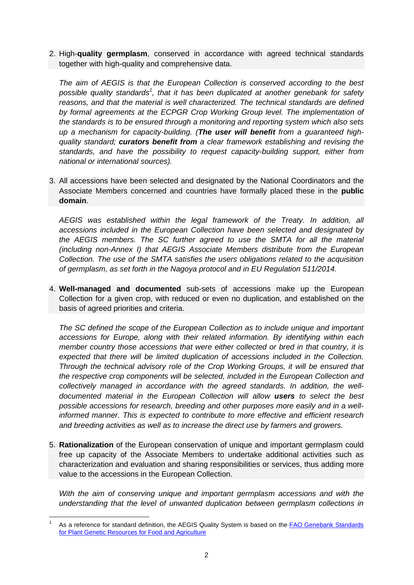2. High-**quality germplasm**, conserved in accordance with agreed technical standards together with high-quality and comprehensive data.

*The aim of AEGIS is that the European Collection is conserved according to the best*  possible quality standards<sup>1</sup>, that it has been duplicated at another genebank for safety *reasons, and that the material is well characterized. The technical standards are defined*  by formal agreements at the ECPGR Crop Working Group level. The implementation of *the standards is to be ensured through a monitoring and reporting system which also sets up a mechanism for capacity-building. (The user will benefit from a guaranteed highquality standard; curators benefit from a clear framework establishing and revising the standards, and have the possibility to request capacity-building support, either from national or international sources).*

3. All accessions have been selected and designated by the National Coordinators and the Associate Members concerned and countries have formally placed these in the **public domain**.

*AEGIS was established within the legal framework of the Treaty. In addition, all accessions included in the European Collection have been selected and designated by the AEGIS members. The SC further agreed to use the SMTA for all the material (including non-Annex I) that AEGIS Associate Members distribute from the European Collection. The use of the SMTA satisfies the users obligations related to the acquisition of germplasm, as set forth in the Nagoya protocol and in EU Regulation 511/2014.* 

4. **Well-managed and documented** sub-sets of accessions make up the European Collection for a given crop, with reduced or even no duplication, and established on the basis of agreed priorities and criteria.

*The SC defined the scope of the European Collection as to include unique and important accessions for Europe, along with their related information. By identifying within each member country those accessions that were either collected or bred in that country, it is expected that there will be limited duplication of accessions included in the Collection. Through the technical advisory role of the Crop Working Groups, it will be ensured that the respective crop components will be selected, included in the European Collection and collectively managed in accordance with the agreed standards. In addition, the welldocumented material in the European Collection will allow users to select the best possible accessions for research, breeding and other purposes more easily and in a wellinformed manner. This is expected to contribute to more effective and efficient research and breeding activities as well as to increase the direct use by farmers and growers.*

5. **Rationalization** of the European conservation of unique and important germplasm could free up capacity of the Associate Members to undertake additional activities such as characterization and evaluation and sharing responsibilities or services, thus adding more value to the accessions in the European Collection.

*With the aim of conserving unique and important germplasm accessions and with the understanding that the level of unwanted duplication between germplasm collections in* 

<sup>1</sup> As a reference for standard definition, the AEGIS Quality System is based on the [FAO Genebank Standards](http://www.fao.org/agriculture/crops/thematic-sitemap/theme/seeds-pgr/gbs/en/)  [for Plant Genetic Resources for Food and Agriculture](http://www.fao.org/agriculture/crops/thematic-sitemap/theme/seeds-pgr/gbs/en/)